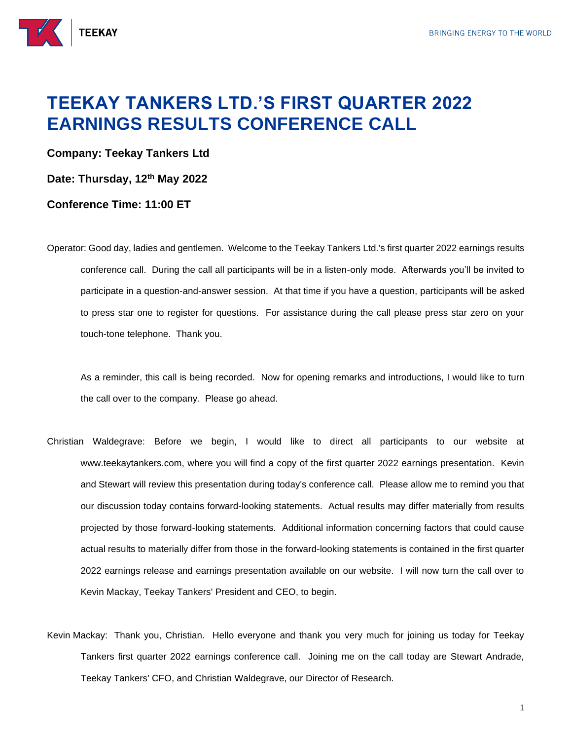

## **TEEKAY TANKERS LTD.'S FIRST QUARTER 2022 EARNINGS RESULTS CONFERENCE CALL**

**Company: Teekay Tankers Ltd**

**Date: Thursday, 12th May 2022**

## **Conference Time: 11:00 ET**

Operator: Good day, ladies and gentlemen. Welcome to the Teekay Tankers Ltd.'s first quarter 2022 earnings results conference call. During the call all participants will be in a listen-only mode. Afterwards you'll be invited to participate in a question-and-answer session. At that time if you have a question, participants will be asked to press star one to register for questions. For assistance during the call please press star zero on your touch-tone telephone. Thank you.

As a reminder, this call is being recorded. Now for opening remarks and introductions, I would like to turn the call over to the company. Please go ahead.

- Christian Waldegrave: Before we begin, I would like to direct all participants to our website at www.teekaytankers.com, where you will find a copy of the first quarter 2022 earnings presentation. Kevin and Stewart will review this presentation during today's conference call. Please allow me to remind you that our discussion today contains forward-looking statements. Actual results may differ materially from results projected by those forward-looking statements. Additional information concerning factors that could cause actual results to materially differ from those in the forward-looking statements is contained in the first quarter 2022 earnings release and earnings presentation available on our website. I will now turn the call over to Kevin Mackay, Teekay Tankers' President and CEO, to begin.
- Kevin Mackay: Thank you, Christian. Hello everyone and thank you very much for joining us today for Teekay Tankers first quarter 2022 earnings conference call. Joining me on the call today are Stewart Andrade, Teekay Tankers' CFO, and Christian Waldegrave, our Director of Research.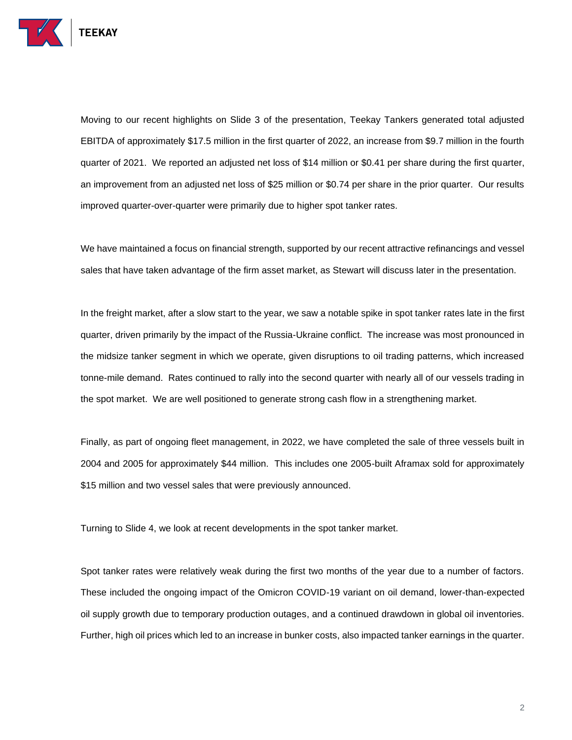

Moving to our recent highlights on Slide 3 of the presentation, Teekay Tankers generated total adjusted EBITDA of approximately \$17.5 million in the first quarter of 2022, an increase from \$9.7 million in the fourth quarter of 2021. We reported an adjusted net loss of \$14 million or \$0.41 per share during the first quarter, an improvement from an adjusted net loss of \$25 million or \$0.74 per share in the prior quarter. Our results improved quarter-over-quarter were primarily due to higher spot tanker rates.

We have maintained a focus on financial strength, supported by our recent attractive refinancings and vessel sales that have taken advantage of the firm asset market, as Stewart will discuss later in the presentation.

In the freight market, after a slow start to the year, we saw a notable spike in spot tanker rates late in the first quarter, driven primarily by the impact of the Russia-Ukraine conflict. The increase was most pronounced in the midsize tanker segment in which we operate, given disruptions to oil trading patterns, which increased tonne-mile demand. Rates continued to rally into the second quarter with nearly all of our vessels trading in the spot market. We are well positioned to generate strong cash flow in a strengthening market.

Finally, as part of ongoing fleet management, in 2022, we have completed the sale of three vessels built in 2004 and 2005 for approximately \$44 million. This includes one 2005-built Aframax sold for approximately \$15 million and two vessel sales that were previously announced.

Turning to Slide 4, we look at recent developments in the spot tanker market.

Spot tanker rates were relatively weak during the first two months of the year due to a number of factors. These included the ongoing impact of the Omicron COVID-19 variant on oil demand, lower-than-expected oil supply growth due to temporary production outages, and a continued drawdown in global oil inventories. Further, high oil prices which led to an increase in bunker costs, also impacted tanker earnings in the quarter.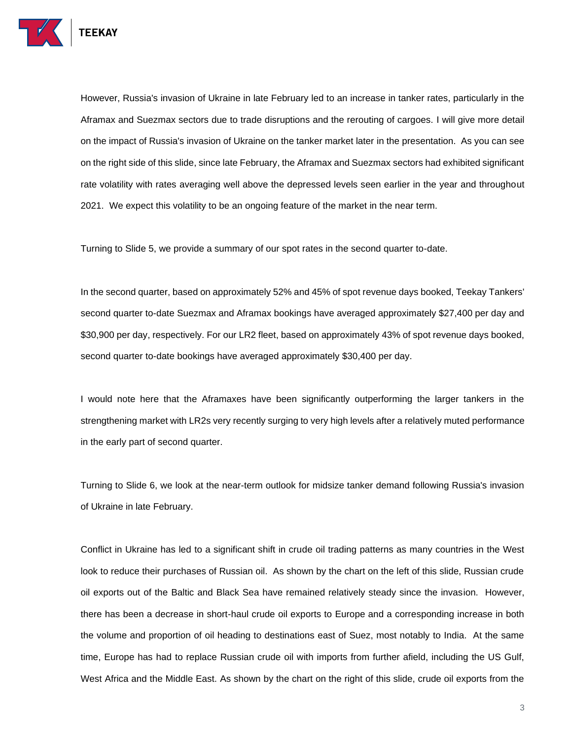

However, Russia's invasion of Ukraine in late February led to an increase in tanker rates, particularly in the Aframax and Suezmax sectors due to trade disruptions and the rerouting of cargoes. I will give more detail on the impact of Russia's invasion of Ukraine on the tanker market later in the presentation. As you can see on the right side of this slide, since late February, the Aframax and Suezmax sectors had exhibited significant rate volatility with rates averaging well above the depressed levels seen earlier in the year and throughout 2021. We expect this volatility to be an ongoing feature of the market in the near term.

Turning to Slide 5, we provide a summary of our spot rates in the second quarter to-date.

In the second quarter, based on approximately 52% and 45% of spot revenue days booked, Teekay Tankers' second quarter to-date Suezmax and Aframax bookings have averaged approximately \$27,400 per day and \$30,900 per day, respectively. For our LR2 fleet, based on approximately 43% of spot revenue days booked, second quarter to-date bookings have averaged approximately \$30,400 per day.

I would note here that the Aframaxes have been significantly outperforming the larger tankers in the strengthening market with LR2s very recently surging to very high levels after a relatively muted performance in the early part of second quarter.

Turning to Slide 6, we look at the near-term outlook for midsize tanker demand following Russia's invasion of Ukraine in late February.

Conflict in Ukraine has led to a significant shift in crude oil trading patterns as many countries in the West look to reduce their purchases of Russian oil. As shown by the chart on the left of this slide, Russian crude oil exports out of the Baltic and Black Sea have remained relatively steady since the invasion. However, there has been a decrease in short-haul crude oil exports to Europe and a corresponding increase in both the volume and proportion of oil heading to destinations east of Suez, most notably to India. At the same time, Europe has had to replace Russian crude oil with imports from further afield, including the US Gulf, West Africa and the Middle East. As shown by the chart on the right of this slide, crude oil exports from the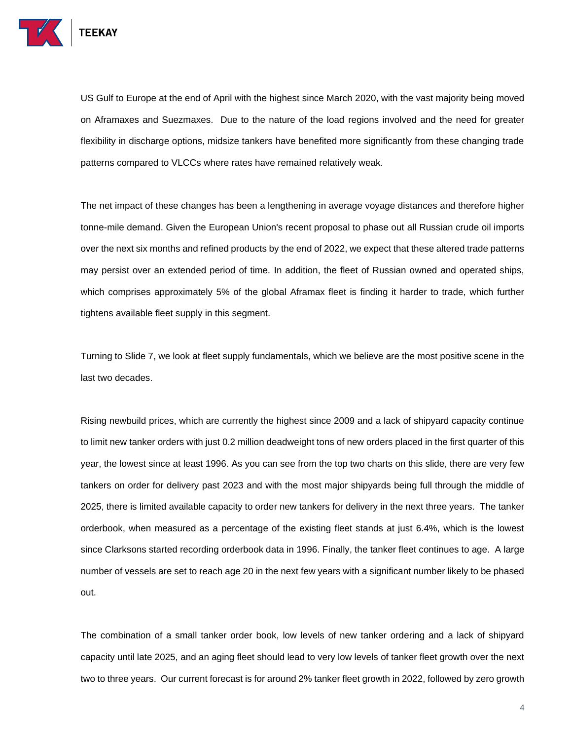

US Gulf to Europe at the end of April with the highest since March 2020, with the vast majority being moved on Aframaxes and Suezmaxes. Due to the nature of the load regions involved and the need for greater flexibility in discharge options, midsize tankers have benefited more significantly from these changing trade patterns compared to VLCCs where rates have remained relatively weak.

The net impact of these changes has been a lengthening in average voyage distances and therefore higher tonne-mile demand. Given the European Union's recent proposal to phase out all Russian crude oil imports over the next six months and refined products by the end of 2022, we expect that these altered trade patterns may persist over an extended period of time. In addition, the fleet of Russian owned and operated ships, which comprises approximately 5% of the global Aframax fleet is finding it harder to trade, which further tightens available fleet supply in this segment.

Turning to Slide 7, we look at fleet supply fundamentals, which we believe are the most positive scene in the last two decades.

Rising newbuild prices, which are currently the highest since 2009 and a lack of shipyard capacity continue to limit new tanker orders with just 0.2 million deadweight tons of new orders placed in the first quarter of this year, the lowest since at least 1996. As you can see from the top two charts on this slide, there are very few tankers on order for delivery past 2023 and with the most major shipyards being full through the middle of 2025, there is limited available capacity to order new tankers for delivery in the next three years. The tanker orderbook, when measured as a percentage of the existing fleet stands at just 6.4%, which is the lowest since Clarksons started recording orderbook data in 1996. Finally, the tanker fleet continues to age. A large number of vessels are set to reach age 20 in the next few years with a significant number likely to be phased out.

The combination of a small tanker order book, low levels of new tanker ordering and a lack of shipyard capacity until late 2025, and an aging fleet should lead to very low levels of tanker fleet growth over the next two to three years. Our current forecast is for around 2% tanker fleet growth in 2022, followed by zero growth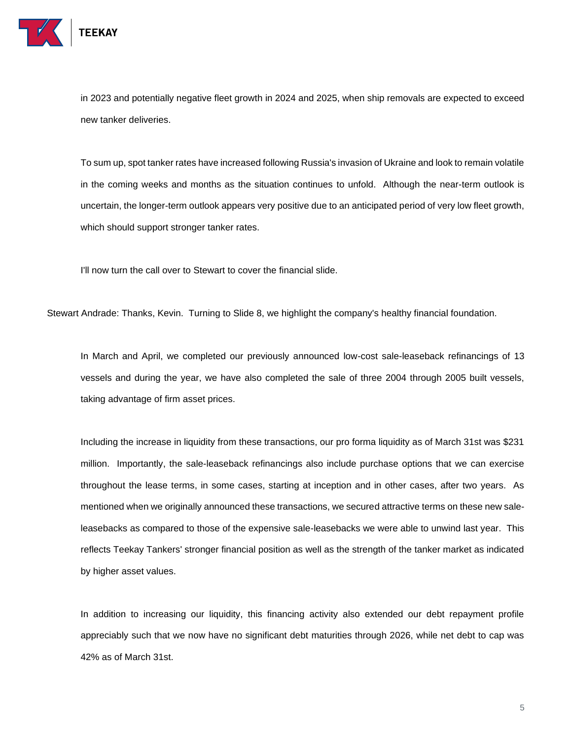

in 2023 and potentially negative fleet growth in 2024 and 2025, when ship removals are expected to exceed new tanker deliveries.

To sum up, spot tanker rates have increased following Russia's invasion of Ukraine and look to remain volatile in the coming weeks and months as the situation continues to unfold. Although the near-term outlook is uncertain, the longer-term outlook appears very positive due to an anticipated period of very low fleet growth, which should support stronger tanker rates.

I'll now turn the call over to Stewart to cover the financial slide.

Stewart Andrade: Thanks, Kevin. Turning to Slide 8, we highlight the company's healthy financial foundation.

In March and April, we completed our previously announced low-cost sale-leaseback refinancings of 13 vessels and during the year, we have also completed the sale of three 2004 through 2005 built vessels, taking advantage of firm asset prices.

Including the increase in liquidity from these transactions, our pro forma liquidity as of March 31st was \$231 million. Importantly, the sale-leaseback refinancings also include purchase options that we can exercise throughout the lease terms, in some cases, starting at inception and in other cases, after two years. As mentioned when we originally announced these transactions, we secured attractive terms on these new saleleasebacks as compared to those of the expensive sale-leasebacks we were able to unwind last year. This reflects Teekay Tankers' stronger financial position as well as the strength of the tanker market as indicated by higher asset values.

In addition to increasing our liquidity, this financing activity also extended our debt repayment profile appreciably such that we now have no significant debt maturities through 2026, while net debt to cap was 42% as of March 31st.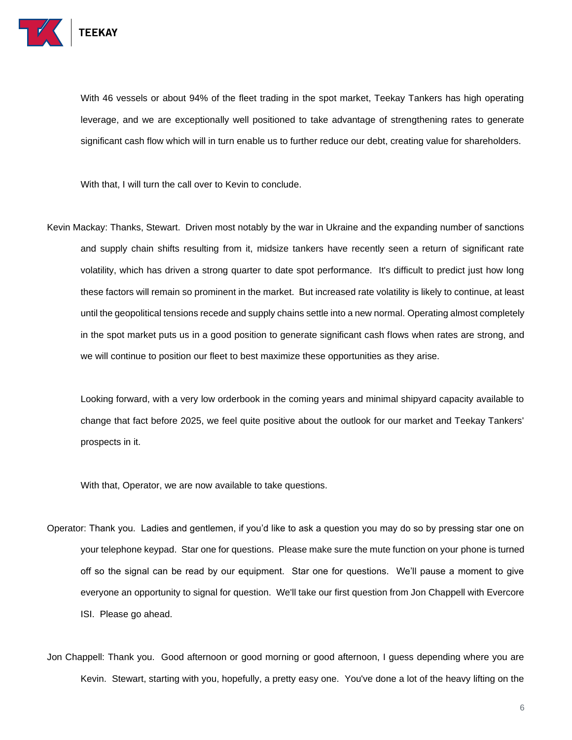

With 46 vessels or about 94% of the fleet trading in the spot market, Teekay Tankers has high operating leverage, and we are exceptionally well positioned to take advantage of strengthening rates to generate significant cash flow which will in turn enable us to further reduce our debt, creating value for shareholders.

With that, I will turn the call over to Kevin to conclude.

Kevin Mackay: Thanks, Stewart. Driven most notably by the war in Ukraine and the expanding number of sanctions and supply chain shifts resulting from it, midsize tankers have recently seen a return of significant rate volatility, which has driven a strong quarter to date spot performance. It's difficult to predict just how long these factors will remain so prominent in the market. But increased rate volatility is likely to continue, at least until the geopolitical tensions recede and supply chains settle into a new normal. Operating almost completely in the spot market puts us in a good position to generate significant cash flows when rates are strong, and we will continue to position our fleet to best maximize these opportunities as they arise.

Looking forward, with a very low orderbook in the coming years and minimal shipyard capacity available to change that fact before 2025, we feel quite positive about the outlook for our market and Teekay Tankers' prospects in it.

With that, Operator, we are now available to take questions.

- Operator: Thank you. Ladies and gentlemen, if you'd like to ask a question you may do so by pressing star one on your telephone keypad. Star one for questions. Please make sure the mute function on your phone is turned off so the signal can be read by our equipment. Star one for questions. We'll pause a moment to give everyone an opportunity to signal for question. We'll take our first question from Jon Chappell with Evercore ISI. Please go ahead.
- Jon Chappell: Thank you. Good afternoon or good morning or good afternoon, I guess depending where you are Kevin. Stewart, starting with you, hopefully, a pretty easy one. You've done a lot of the heavy lifting on the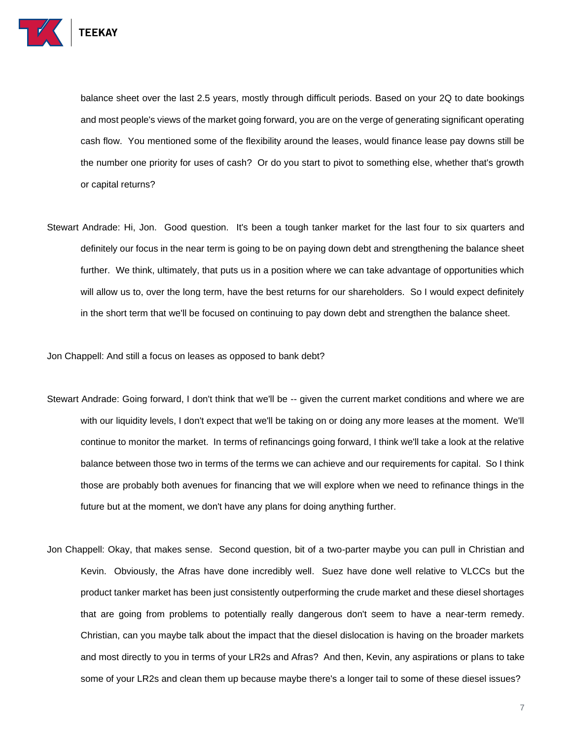

balance sheet over the last 2.5 years, mostly through difficult periods. Based on your 2Q to date bookings and most people's views of the market going forward, you are on the verge of generating significant operating cash flow. You mentioned some of the flexibility around the leases, would finance lease pay downs still be the number one priority for uses of cash? Or do you start to pivot to something else, whether that's growth or capital returns?

Stewart Andrade: Hi, Jon. Good question. It's been a tough tanker market for the last four to six quarters and definitely our focus in the near term is going to be on paying down debt and strengthening the balance sheet further. We think, ultimately, that puts us in a position where we can take advantage of opportunities which will allow us to, over the long term, have the best returns for our shareholders. So I would expect definitely in the short term that we'll be focused on continuing to pay down debt and strengthen the balance sheet.

Jon Chappell: And still a focus on leases as opposed to bank debt?

- Stewart Andrade: Going forward, I don't think that we'll be -- given the current market conditions and where we are with our liquidity levels, I don't expect that we'll be taking on or doing any more leases at the moment. We'll continue to monitor the market. In terms of refinancings going forward, I think we'll take a look at the relative balance between those two in terms of the terms we can achieve and our requirements for capital. So I think those are probably both avenues for financing that we will explore when we need to refinance things in the future but at the moment, we don't have any plans for doing anything further.
- Jon Chappell: Okay, that makes sense. Second question, bit of a two-parter maybe you can pull in Christian and Kevin. Obviously, the Afras have done incredibly well. Suez have done well relative to VLCCs but the product tanker market has been just consistently outperforming the crude market and these diesel shortages that are going from problems to potentially really dangerous don't seem to have a near-term remedy. Christian, can you maybe talk about the impact that the diesel dislocation is having on the broader markets and most directly to you in terms of your LR2s and Afras? And then, Kevin, any aspirations or plans to take some of your LR2s and clean them up because maybe there's a longer tail to some of these diesel issues?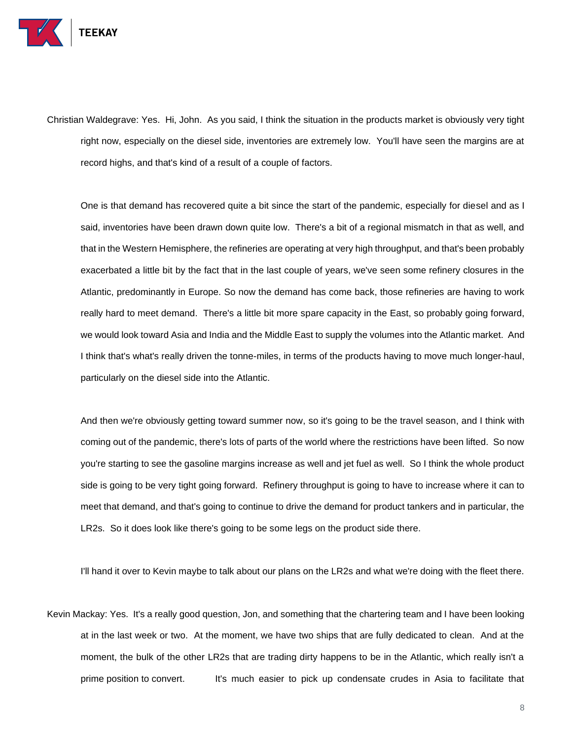

Christian Waldegrave: Yes. Hi, John. As you said, I think the situation in the products market is obviously very tight right now, especially on the diesel side, inventories are extremely low. You'll have seen the margins are at record highs, and that's kind of a result of a couple of factors.

One is that demand has recovered quite a bit since the start of the pandemic, especially for diesel and as I said, inventories have been drawn down quite low. There's a bit of a regional mismatch in that as well, and that in the Western Hemisphere, the refineries are operating at very high throughput, and that's been probably exacerbated a little bit by the fact that in the last couple of years, we've seen some refinery closures in the Atlantic, predominantly in Europe. So now the demand has come back, those refineries are having to work really hard to meet demand. There's a little bit more spare capacity in the East, so probably going forward, we would look toward Asia and India and the Middle East to supply the volumes into the Atlantic market. And I think that's what's really driven the tonne-miles, in terms of the products having to move much longer-haul, particularly on the diesel side into the Atlantic.

And then we're obviously getting toward summer now, so it's going to be the travel season, and I think with coming out of the pandemic, there's lots of parts of the world where the restrictions have been lifted. So now you're starting to see the gasoline margins increase as well and jet fuel as well. So I think the whole product side is going to be very tight going forward. Refinery throughput is going to have to increase where it can to meet that demand, and that's going to continue to drive the demand for product tankers and in particular, the LR2s. So it does look like there's going to be some legs on the product side there.

I'll hand it over to Kevin maybe to talk about our plans on the LR2s and what we're doing with the fleet there.

Kevin Mackay: Yes. It's a really good question, Jon, and something that the chartering team and I have been looking at in the last week or two. At the moment, we have two ships that are fully dedicated to clean. And at the moment, the bulk of the other LR2s that are trading dirty happens to be in the Atlantic, which really isn't a prime position to convert. It's much easier to pick up condensate crudes in Asia to facilitate that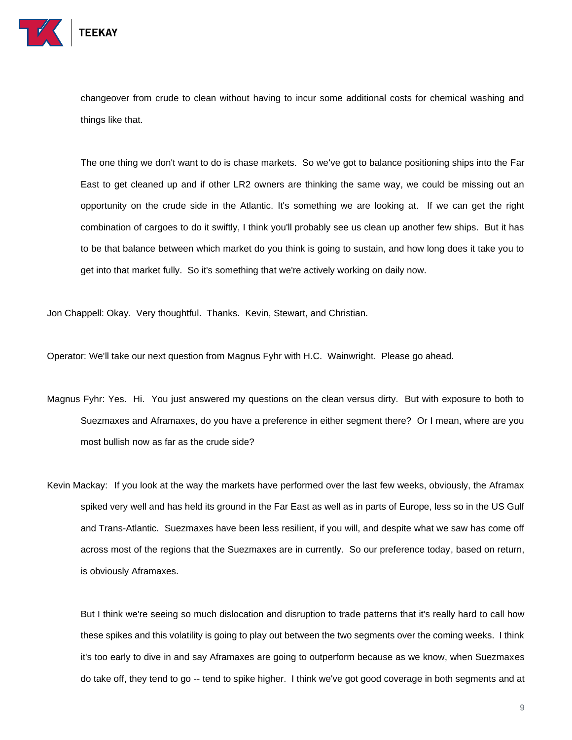

TEEKAY

changeover from crude to clean without having to incur some additional costs for chemical washing and things like that.

The one thing we don't want to do is chase markets. So we've got to balance positioning ships into the Far East to get cleaned up and if other LR2 owners are thinking the same way, we could be missing out an opportunity on the crude side in the Atlantic. It's something we are looking at. If we can get the right combination of cargoes to do it swiftly, I think you'll probably see us clean up another few ships. But it has to be that balance between which market do you think is going to sustain, and how long does it take you to get into that market fully. So it's something that we're actively working on daily now.

Jon Chappell: Okay. Very thoughtful. Thanks. Kevin, Stewart, and Christian.

Operator: We'll take our next question from Magnus Fyhr with H.C. Wainwright. Please go ahead.

- Magnus Fyhr: Yes. Hi. You just answered my questions on the clean versus dirty. But with exposure to both to Suezmaxes and Aframaxes, do you have a preference in either segment there? Or I mean, where are you most bullish now as far as the crude side?
- Kevin Mackay: If you look at the way the markets have performed over the last few weeks, obviously, the Aframax spiked very well and has held its ground in the Far East as well as in parts of Europe, less so in the US Gulf and Trans-Atlantic. Suezmaxes have been less resilient, if you will, and despite what we saw has come off across most of the regions that the Suezmaxes are in currently. So our preference today, based on return, is obviously Aframaxes.

But I think we're seeing so much dislocation and disruption to trade patterns that it's really hard to call how these spikes and this volatility is going to play out between the two segments over the coming weeks. I think it's too early to dive in and say Aframaxes are going to outperform because as we know, when Suezmaxes do take off, they tend to go -- tend to spike higher. I think we've got good coverage in both segments and at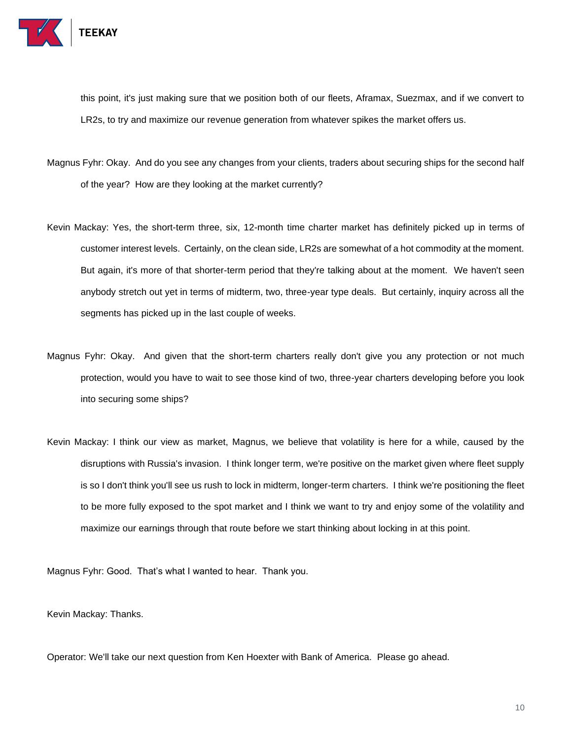

this point, it's just making sure that we position both of our fleets, Aframax, Suezmax, and if we convert to LR2s, to try and maximize our revenue generation from whatever spikes the market offers us.

- Magnus Fyhr: Okay. And do you see any changes from your clients, traders about securing ships for the second half of the year? How are they looking at the market currently?
- Kevin Mackay: Yes, the short-term three, six, 12-month time charter market has definitely picked up in terms of customer interest levels. Certainly, on the clean side, LR2s are somewhat of a hot commodity at the moment. But again, it's more of that shorter-term period that they're talking about at the moment. We haven't seen anybody stretch out yet in terms of midterm, two, three-year type deals. But certainly, inquiry across all the segments has picked up in the last couple of weeks.
- Magnus Fyhr: Okay. And given that the short-term charters really don't give you any protection or not much protection, would you have to wait to see those kind of two, three-year charters developing before you look into securing some ships?
- Kevin Mackay: I think our view as market, Magnus, we believe that volatility is here for a while, caused by the disruptions with Russia's invasion. I think longer term, we're positive on the market given where fleet supply is so I don't think you'll see us rush to lock in midterm, longer-term charters. I think we're positioning the fleet to be more fully exposed to the spot market and I think we want to try and enjoy some of the volatility and maximize our earnings through that route before we start thinking about locking in at this point.

Magnus Fyhr: Good. That's what I wanted to hear. Thank you.

Kevin Mackay: Thanks.

Operator: We'll take our next question from Ken Hoexter with Bank of America. Please go ahead.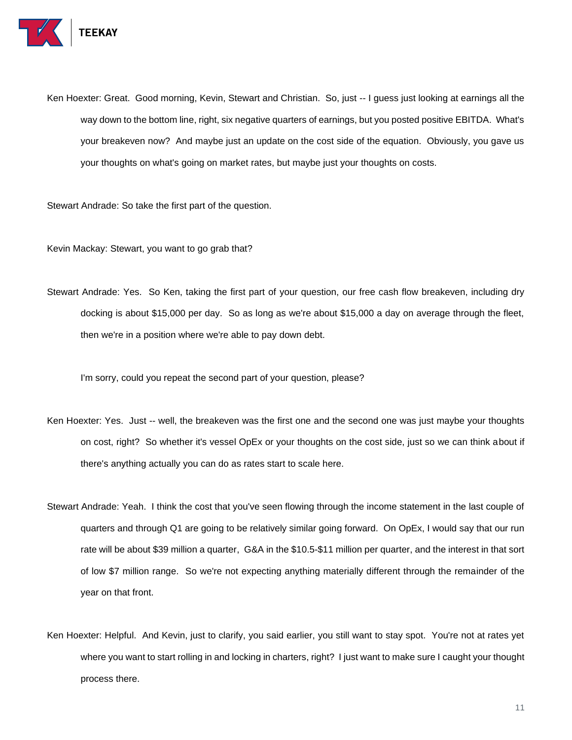

Ken Hoexter: Great. Good morning, Kevin, Stewart and Christian. So, just -- I guess just looking at earnings all the way down to the bottom line, right, six negative quarters of earnings, but you posted positive EBITDA. What's your breakeven now? And maybe just an update on the cost side of the equation. Obviously, you gave us your thoughts on what's going on market rates, but maybe just your thoughts on costs.

Stewart Andrade: So take the first part of the question.

Kevin Mackay: Stewart, you want to go grab that?

Stewart Andrade: Yes. So Ken, taking the first part of your question, our free cash flow breakeven, including dry docking is about \$15,000 per day. So as long as we're about \$15,000 a day on average through the fleet, then we're in a position where we're able to pay down debt.

I'm sorry, could you repeat the second part of your question, please?

- Ken Hoexter: Yes. Just -- well, the breakeven was the first one and the second one was just maybe your thoughts on cost, right? So whether it's vessel OpEx or your thoughts on the cost side, just so we can think about if there's anything actually you can do as rates start to scale here.
- Stewart Andrade: Yeah. I think the cost that you've seen flowing through the income statement in the last couple of quarters and through Q1 are going to be relatively similar going forward. On OpEx, I would say that our run rate will be about \$39 million a quarter, G&A in the \$10.5-\$11 million per quarter, and the interest in that sort of low \$7 million range. So we're not expecting anything materially different through the remainder of the year on that front.
- Ken Hoexter: Helpful. And Kevin, just to clarify, you said earlier, you still want to stay spot. You're not at rates yet where you want to start rolling in and locking in charters, right? I just want to make sure I caught your thought process there.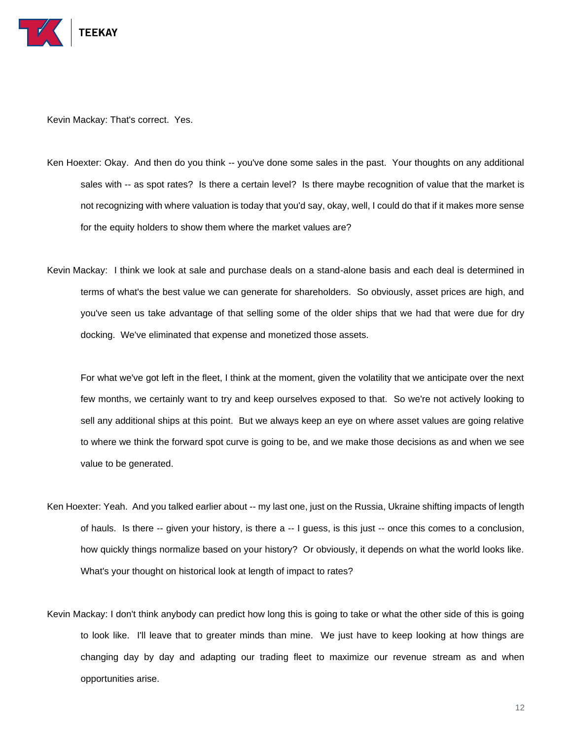

Kevin Mackay: That's correct. Yes.

- Ken Hoexter: Okay. And then do you think -- you've done some sales in the past. Your thoughts on any additional sales with -- as spot rates? Is there a certain level? Is there maybe recognition of value that the market is not recognizing with where valuation is today that you'd say, okay, well, I could do that if it makes more sense for the equity holders to show them where the market values are?
- Kevin Mackay: I think we look at sale and purchase deals on a stand-alone basis and each deal is determined in terms of what's the best value we can generate for shareholders. So obviously, asset prices are high, and you've seen us take advantage of that selling some of the older ships that we had that were due for dry docking. We've eliminated that expense and monetized those assets.

For what we've got left in the fleet, I think at the moment, given the volatility that we anticipate over the next few months, we certainly want to try and keep ourselves exposed to that. So we're not actively looking to sell any additional ships at this point. But we always keep an eye on where asset values are going relative to where we think the forward spot curve is going to be, and we make those decisions as and when we see value to be generated.

- Ken Hoexter: Yeah. And you talked earlier about -- my last one, just on the Russia, Ukraine shifting impacts of length of hauls. Is there -- given your history, is there a -- I guess, is this just -- once this comes to a conclusion, how quickly things normalize based on your history? Or obviously, it depends on what the world looks like. What's your thought on historical look at length of impact to rates?
- Kevin Mackay: I don't think anybody can predict how long this is going to take or what the other side of this is going to look like. I'll leave that to greater minds than mine. We just have to keep looking at how things are changing day by day and adapting our trading fleet to maximize our revenue stream as and when opportunities arise.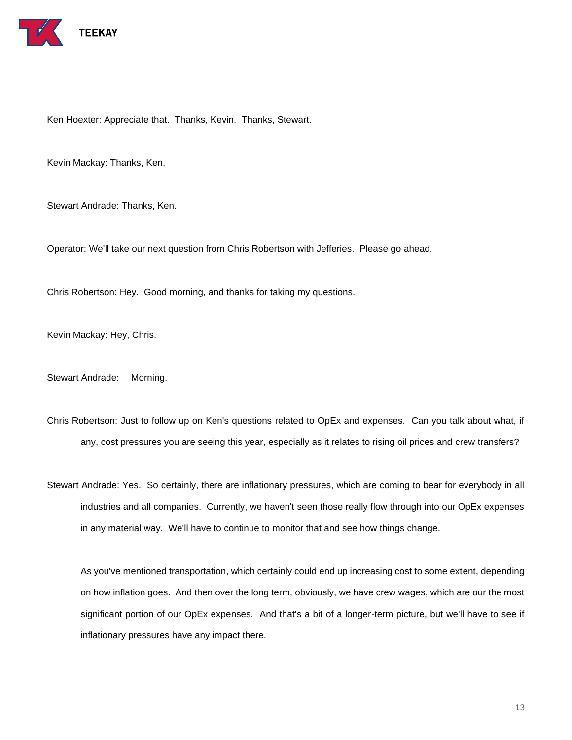

Ken Hoexter: Appreciate that. Thanks, Kevin. Thanks, Stewart.

Kevin Mackay: Thanks, Ken.

Stewart Andrade: Thanks, Ken.

Operator: We'll take our next question from Chris Robertson with Jefferies. Please go ahead.

Chris Robertson: Hey. Good morning, and thanks for taking my questions.

Kevin Mackay: Hey, Chris.

Stewart Andrade: Morning.

Chris Robertson: Just to follow up on Ken's questions related to OpEx and expenses. Can you talk about what, if any, cost pressures you are seeing this year, especially as it relates to rising oil prices and crew transfers?

Stewart Andrade: Yes. So certainly, there are inflationary pressures, which are coming to bear for everybody in all industries and all companies. Currently, we haven't seen those really flow through into our OpEx expenses in any material way. We'll have to continue to monitor that and see how things change.

As you've mentioned transportation, which certainly could end up increasing cost to some extent, depending on how inflation goes. And then over the long term, obviously, we have crew wages, which are our the most significant portion of our OpEx expenses. And that's a bit of a longer-term picture, but we'll have to see if inflationary pressures have any impact there.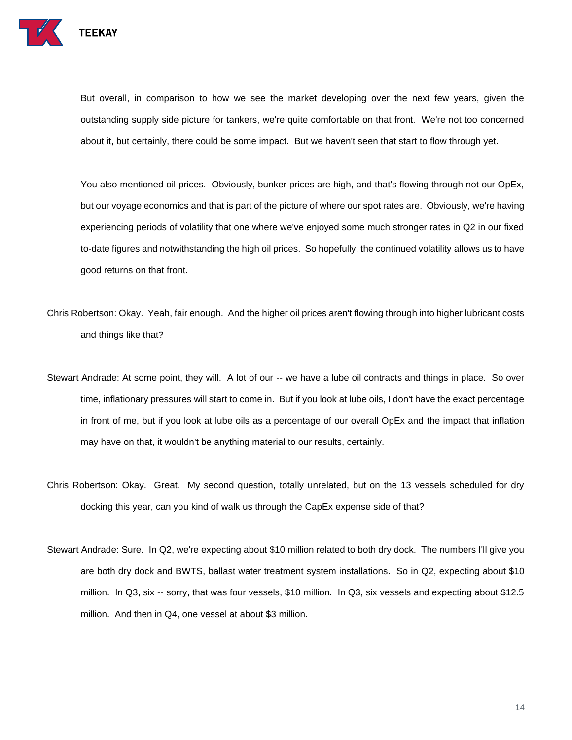

But overall, in comparison to how we see the market developing over the next few years, given the outstanding supply side picture for tankers, we're quite comfortable on that front. We're not too concerned about it, but certainly, there could be some impact. But we haven't seen that start to flow through yet.

You also mentioned oil prices. Obviously, bunker prices are high, and that's flowing through not our OpEx, but our voyage economics and that is part of the picture of where our spot rates are. Obviously, we're having experiencing periods of volatility that one where we've enjoyed some much stronger rates in Q2 in our fixed to-date figures and notwithstanding the high oil prices. So hopefully, the continued volatility allows us to have good returns on that front.

- Chris Robertson: Okay. Yeah, fair enough. And the higher oil prices aren't flowing through into higher lubricant costs and things like that?
- Stewart Andrade: At some point, they will. A lot of our -- we have a lube oil contracts and things in place. So over time, inflationary pressures will start to come in. But if you look at lube oils, I don't have the exact percentage in front of me, but if you look at lube oils as a percentage of our overall OpEx and the impact that inflation may have on that, it wouldn't be anything material to our results, certainly.
- Chris Robertson: Okay. Great. My second question, totally unrelated, but on the 13 vessels scheduled for dry docking this year, can you kind of walk us through the CapEx expense side of that?
- Stewart Andrade: Sure. In Q2, we're expecting about \$10 million related to both dry dock. The numbers I'll give you are both dry dock and BWTS, ballast water treatment system installations. So in Q2, expecting about \$10 million. In Q3, six -- sorry, that was four vessels, \$10 million. In Q3, six vessels and expecting about \$12.5 million. And then in Q4, one vessel at about \$3 million.